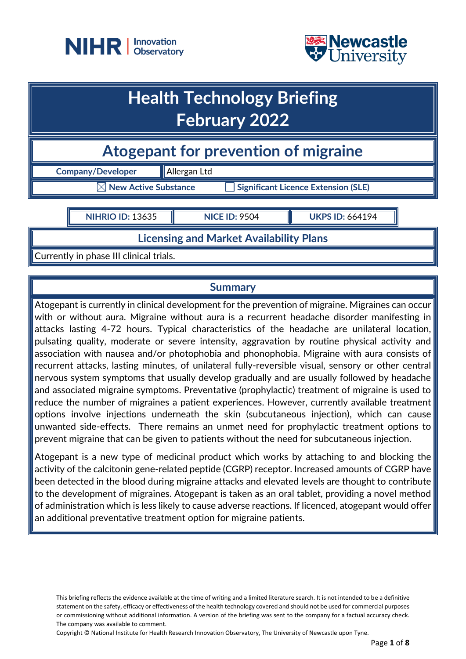



## **Health Technology Briefing February 2022**

**Atogepant for prevention of migraine**

**Company/Developer Allergan Ltd** 

**New Active Substance Significant Licence Extension (SLE)** 

**NIHRIO ID:** 13635 **NICE ID:** 9504 **UKPS ID:** 664194

**Licensing and Market Availability Plans**

Currently in phase III clinical trials.

## **Summary**

Atogepant is currently in clinical development for the prevention of migraine. Migraines can occur with or without aura. Migraine without aura is a recurrent headache disorder manifesting in attacks lasting 4-72 hours. Typical characteristics of the headache are unilateral location, pulsating quality, moderate or severe intensity, aggravation by routine physical activity and association with nausea and/or photophobia and phonophobia. Migraine with aura consists of recurrent attacks, lasting minutes, of unilateral fully-reversible visual, sensory or other central nervous system symptoms that usually develop gradually and are usually followed by headache and associated migraine symptoms. Preventative (prophylactic) treatment of migraine is used to reduce the number of migraines a patient experiences. However, currently available treatment options involve injections underneath the skin (subcutaneous injection), which can cause unwanted side-effects. There remains an unmet need for prophylactic treatment options to prevent migraine that can be given to patients without the need for subcutaneous injection.

Atogepant is a new type of medicinal product which works by attaching to and blocking the activity of the calcitonin gene-related peptide (CGRP) receptor. Increased amounts of CGRP have been detected in the blood during migraine attacks and elevated levels are thought to contribute to the development of migraines. Atogepant is taken as an oral tablet, providing a novel method of administration which is less likely to cause adverse reactions. If licenced, atogepant would offer an additional preventative treatment option for migraine patients.

This briefing reflects the evidence available at the time of writing and a limited literature search. It is not intended to be a definitive statement on the safety, efficacy or effectiveness of the health technology covered and should not be used for commercial purposes or commissioning without additional information. A version of the briefing was sent to the company for a factual accuracy check. The company was available to comment.

Copyright © National Institute for Health Research Innovation Observatory, The University of Newcastle upon Tyne.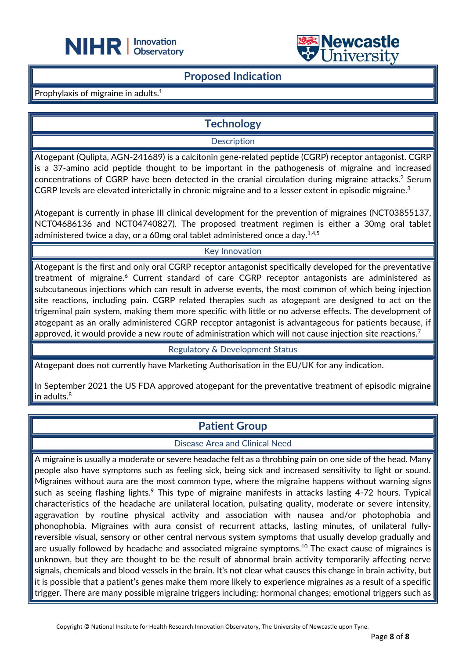



### **Proposed Indication**

L

Prophylaxis of migraine in adults.<sup>1</sup>

### **Technology**

**Description** 

Atogepant (Qulipta, AGN-241689) is a calcitonin gene-related peptide (CGRP) receptor antagonist. CGRP is a 37-amino acid peptide thought to be important in the pathogenesis of migraine and increased concentrations of CGRP have been detected in the cranial circulation during migraine attacks. <sup>2</sup> Serum  $\sf CGRP$  levels are elevated interictally in chronic migraine and to a lesser extent in episodic migraine. $^3$ 

Atogepant is currently in phase III clinical development for the prevention of migraines (NCT03855137, NCT04686136 and NCT04740827). The proposed treatment regimen is either a 30mg oral tablet administered twice a day, or a 60mg oral tablet administered once a day. $1.4,5$ 

#### Key Innovation

Atogepant is the first and only oral CGRP receptor antagonist specifically developed for the preventative treatment of migraine.<sup>6</sup> Current standard of care CGRP receptor antagonists are administered as subcutaneous injections which can result in adverse events, the most common of which being injection site reactions, including pain. CGRP related therapies such as atogepant are designed to act on the trigeminal pain system, making them more specific with little or no adverse effects. The development of atogepant as an orally administered CGRP receptor antagonist is advantageous for patients because, if approved, it would provide a new route of administration which will not cause injection site reactions.<sup>7</sup>

Regulatory & Development Status

Atogepant does not currently have Marketing Authorisation in the EU/UK for any indication.

In September 2021 the US FDA approved atogepant for the preventative treatment of episodic migraine in adults. $8$ 

### **Patient Group**

Disease Area and Clinical Need

A migraine is usually a moderate or severe headache felt as a throbbing pain on one side of the head. Many people also have symptoms such as feeling sick, being sick and increased sensitivity to light or sound. Migraines without aura are the most common type, where the migraine happens without warning signs such as seeing flashing lights.<sup>9</sup> This type of migraine manifests in attacks lasting 4-72 hours. Typical characteristics of the headache are unilateral location, pulsating quality, moderate or severe intensity, aggravation by routine physical activity and association with nausea and/or photophobia and phonophobia. Migraines with aura consist of recurrent attacks, lasting minutes, of unilateral fullyreversible visual, sensory or other central nervous system symptoms that usually develop gradually and are usually followed by headache and associated migraine symptoms.<sup>10</sup> The exact cause of migraines is unknown, but they are thought to be the result of abnormal brain activity temporarily affecting nerve signals, chemicals and blood vessels in the brain. It's not clear what causes this change in brain activity, but it is possible that a patient's genes make them more likely to experience migraines as a result of a specific trigger. There are many possible migraine triggers including: hormonal changes; emotional triggers such as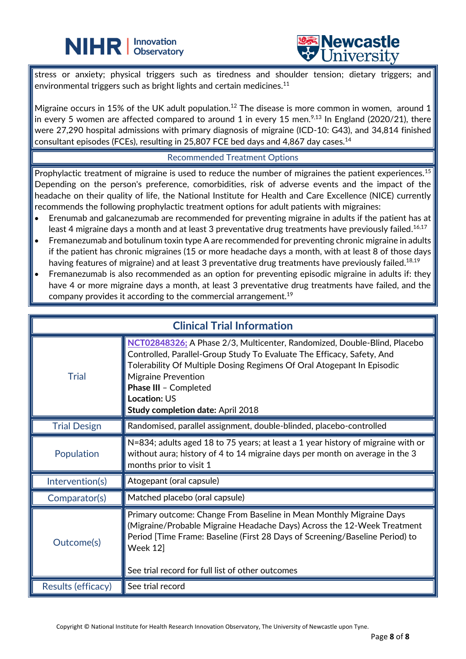## **NIHR** | Innovation



stress or anxiety; physical triggers such as tiredness and shoulder tension; dietary triggers; and environmental triggers such as bright lights and certain medicines.<sup>11</sup>

L

Migraine occurs in 15% of the UK adult population.<sup>12</sup> The disease is more common in women, around 1 in every 5 women are affected compared to around 1 in every 15 men.<sup>9,13</sup> In England (2020/21), there were 27,290 hospital admissions with primary diagnosis of migraine (ICD-10: G43), and 34,814 finished consultant episodes (FCEs), resulting in 25,807 FCE bed days and 4,867 day cases.<sup>14</sup>

#### Recommended Treatment Options

Prophylactic treatment of migraine is used to reduce the number of migraines the patient experiences.<sup>15</sup> Depending on the person's preference, comorbidities, risk of adverse events and the impact of the headache on their quality of life, the National Institute for Health and Care Excellence (NICE) currently recommends the following prophylactic treatment options for adult patients with migraines:

- Erenumab and galcanezumab are recommended for preventing migraine in adults if the patient has at least 4 migraine days a month and at least 3 preventative drug treatments have previously failed. $^{16,17}\,$
- Fremanezumab and botulinum toxin type A are recommended for preventing chronic migraine in adults if the patient has chronic migraines (15 or more headache days a month, with at least 8 of those days having features of migraine) and at least 3 preventative drug treatments have previously failed. $^{18,19}$
- Fremanezumab is also recommended as an option for preventing episodic migraine in adults if: they have 4 or more migraine days a month, at least 3 preventative drug treatments have failed, and the company provides it according to the commercial arrangement.<sup>19</sup>

| <b>Clinical Trial Information</b> |                                                                                                                                                                                                                                                                                                                                                        |
|-----------------------------------|--------------------------------------------------------------------------------------------------------------------------------------------------------------------------------------------------------------------------------------------------------------------------------------------------------------------------------------------------------|
| <b>Trial</b>                      | NCT02848326; A Phase 2/3, Multicenter, Randomized, Double-Blind, Placebo<br>Controlled, Parallel-Group Study To Evaluate The Efficacy, Safety, And<br>Tolerability Of Multiple Dosing Regimens Of Oral Atogepant In Episodic<br><b>Migraine Prevention</b><br>Phase III - Completed<br><b>Location: US</b><br><b>Study completion date: April 2018</b> |
| <b>Trial Design</b>               | Randomised, parallel assignment, double-blinded, placebo-controlled                                                                                                                                                                                                                                                                                    |
| Population                        | N=834; adults aged 18 to 75 years; at least a 1 year history of migraine with or<br>without aura; history of 4 to 14 migraine days per month on average in the 3<br>months prior to visit 1                                                                                                                                                            |
| Intervention(s)                   | Atogepant (oral capsule)                                                                                                                                                                                                                                                                                                                               |
| Comparator(s)                     | Matched placebo (oral capsule)                                                                                                                                                                                                                                                                                                                         |
| Outcome(s)                        | Primary outcome: Change From Baseline in Mean Monthly Migraine Days<br>(Migraine/Probable Migraine Headache Days) Across the 12-Week Treatment<br>Period [Time Frame: Baseline (First 28 Days of Screening/Baseline Period) to<br>Week 12<br>See trial record for full list of other outcomes                                                          |
| Results (efficacy)                | See trial record                                                                                                                                                                                                                                                                                                                                       |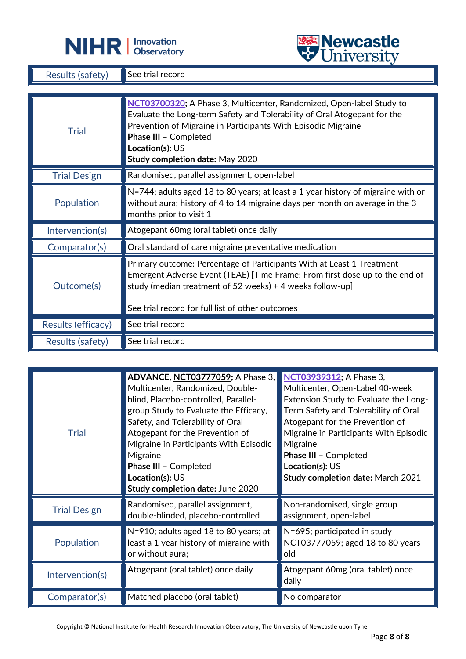



| <b>Results (safety)</b> | See trial record                                                                                                                                                                                                                                                                                 |  |
|-------------------------|--------------------------------------------------------------------------------------------------------------------------------------------------------------------------------------------------------------------------------------------------------------------------------------------------|--|
|                         |                                                                                                                                                                                                                                                                                                  |  |
| <b>Trial</b>            | NCT03700320; A Phase 3, Multicenter, Randomized, Open-label Study to<br>Evaluate the Long-term Safety and Tolerability of Oral Atogepant for the<br>Prevention of Migraine in Participants With Episodic Migraine<br>Phase III - Completed<br>Location(s): US<br>Study completion date: May 2020 |  |
| <b>Trial Design</b>     | Randomised, parallel assignment, open-label                                                                                                                                                                                                                                                      |  |
| Population              | N=744; adults aged 18 to 80 years; at least a 1 year history of migraine with or<br>without aura; history of 4 to 14 migraine days per month on average in the 3<br>months prior to visit 1                                                                                                      |  |
| Intervention(s)         | Atogepant 60mg (oral tablet) once daily                                                                                                                                                                                                                                                          |  |
| Comparator(s)           | Oral standard of care migraine preventative medication                                                                                                                                                                                                                                           |  |
| Outcome(s)              | Primary outcome: Percentage of Participants With at Least 1 Treatment<br>Emergent Adverse Event (TEAE) [Time Frame: From first dose up to the end of<br>study (median treatment of 52 weeks) + 4 weeks follow-up]<br>See trial record for full list of other outcomes                            |  |
| Results (efficacy)      | See trial record                                                                                                                                                                                                                                                                                 |  |
| Results (safety)        | See trial record                                                                                                                                                                                                                                                                                 |  |

L

| <b>Trial</b>        | <b>ADVANCE, NCT03777059; A Phase 3,</b><br>Multicenter, Randomized, Double-<br>blind, Placebo-controlled, Parallel-<br>group Study to Evaluate the Efficacy,<br>Safety, and Tolerability of Oral<br>Atogepant for the Prevention of<br>Migraine in Participants With Episodic<br>Migraine<br>Phase III - Completed<br>Location(s): US<br>Study completion date: June 2020 | NCT03939312; A Phase 3,<br>Multicenter, Open-Label 40-week<br>Extension Study to Evaluate the Long-<br>Term Safety and Tolerability of Oral<br>Atogepant for the Prevention of<br>Migraine in Participants With Episodic<br>Migraine<br>Phase III - Completed<br>Location(s): US<br><b>Study completion date: March 2021</b> |
|---------------------|---------------------------------------------------------------------------------------------------------------------------------------------------------------------------------------------------------------------------------------------------------------------------------------------------------------------------------------------------------------------------|------------------------------------------------------------------------------------------------------------------------------------------------------------------------------------------------------------------------------------------------------------------------------------------------------------------------------|
| <b>Trial Design</b> | Randomised, parallel assignment,<br>double-blinded, placebo-controlled                                                                                                                                                                                                                                                                                                    | Non-randomised, single group<br>assignment, open-label                                                                                                                                                                                                                                                                       |
| Population          | N=910; adults aged 18 to 80 years; at<br>least a 1 year history of migraine with<br>or without aura;                                                                                                                                                                                                                                                                      | N=695; participated in study<br>NCT03777059; aged 18 to 80 years<br>old                                                                                                                                                                                                                                                      |
| Intervention(s)     | Atogepant (oral tablet) once daily                                                                                                                                                                                                                                                                                                                                        | Atogepant 60mg (oral tablet) once<br>daily                                                                                                                                                                                                                                                                                   |
| Comparator(s)       | Matched placebo (oral tablet)                                                                                                                                                                                                                                                                                                                                             | No comparator                                                                                                                                                                                                                                                                                                                |

Copyright © National Institute for Health Research Innovation Observatory, The University of Newcastle upon Tyne.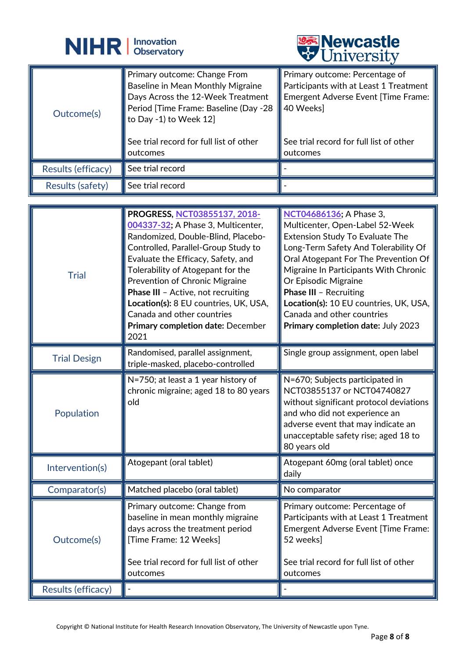



|                    |                                                                                                                                                                                                                                     | A CITTACTOTA                                                                                                                                                                        |
|--------------------|-------------------------------------------------------------------------------------------------------------------------------------------------------------------------------------------------------------------------------------|-------------------------------------------------------------------------------------------------------------------------------------------------------------------------------------|
| Outcome(s)         | Primary outcome: Change From<br>Baseline in Mean Monthly Migraine<br>Days Across the 12-Week Treatment<br>Period [Time Frame: Baseline (Day -28<br>to Day -1) to Week $12$ ]<br>See trial record for full list of other<br>outcomes | Primary outcome: Percentage of<br>Participants with at Least 1 Treatment<br>Emergent Adverse Event [Time Frame:<br>40 Weeks]<br>See trial record for full list of other<br>outcomes |
|                    | See trial record                                                                                                                                                                                                                    |                                                                                                                                                                                     |
| Results (efficacy) |                                                                                                                                                                                                                                     |                                                                                                                                                                                     |
| Results (safety)   | See trial record                                                                                                                                                                                                                    |                                                                                                                                                                                     |

| <b>Trial</b>        | PROGRESS, NCT03855137, 2018-<br>004337-32; A Phase 3, Multicenter,<br>Randomized, Double-Blind, Placebo-<br>Controlled, Parallel-Group Study to<br>Evaluate the Efficacy, Safety, and<br>Tolerability of Atogepant for the<br>Prevention of Chronic Migraine<br>Phase III - Active, not recruiting<br>Location(s): 8 EU countries, UK, USA,<br>Canada and other countries<br>Primary completion date: December<br>2021 | NCT04686136; A Phase 3,<br>Multicenter, Open-Label 52-Week<br><b>Extension Study To Evaluate The</b><br>Long-Term Safety And Tolerability Of<br>Oral Atogepant For The Prevention Of<br>Migraine In Participants With Chronic<br>Or Episodic Migraine<br>Phase III - Recruiting<br>Location(s): 10 EU countries, UK, USA,<br>Canada and other countries<br>Primary completion date: July 2023 |
|---------------------|------------------------------------------------------------------------------------------------------------------------------------------------------------------------------------------------------------------------------------------------------------------------------------------------------------------------------------------------------------------------------------------------------------------------|-----------------------------------------------------------------------------------------------------------------------------------------------------------------------------------------------------------------------------------------------------------------------------------------------------------------------------------------------------------------------------------------------|
| <b>Trial Design</b> | Randomised, parallel assignment,<br>triple-masked, placebo-controlled                                                                                                                                                                                                                                                                                                                                                  | Single group assignment, open label                                                                                                                                                                                                                                                                                                                                                           |
| Population          | N=750; at least a 1 year history of<br>chronic migraine; aged 18 to 80 years<br>old                                                                                                                                                                                                                                                                                                                                    | N=670; Subjects participated in<br>NCT03855137 or NCT04740827<br>without significant protocol deviations<br>and who did not experience an<br>adverse event that may indicate an<br>unacceptable safety rise; aged 18 to<br>80 years old                                                                                                                                                       |
| Intervention(s)     | Atogepant (oral tablet)                                                                                                                                                                                                                                                                                                                                                                                                | Atogepant 60mg (oral tablet) once<br>daily                                                                                                                                                                                                                                                                                                                                                    |
| Comparator(s)       | Matched placebo (oral tablet)                                                                                                                                                                                                                                                                                                                                                                                          | No comparator                                                                                                                                                                                                                                                                                                                                                                                 |
| Outcome(s)          | Primary outcome: Change from<br>baseline in mean monthly migraine<br>days across the treatment period<br>[Time Frame: 12 Weeks]<br>See trial record for full list of other<br>outcomes                                                                                                                                                                                                                                 | Primary outcome: Percentage of<br>Participants with at Least 1 Treatment<br>Emergent Adverse Event [Time Frame:<br>52 weeks]<br>See trial record for full list of other<br>outcomes                                                                                                                                                                                                           |
| Results (efficacy)  |                                                                                                                                                                                                                                                                                                                                                                                                                        |                                                                                                                                                                                                                                                                                                                                                                                               |

Copyright © National Institute for Health Research Innovation Observatory, The University of Newcastle upon Tyne.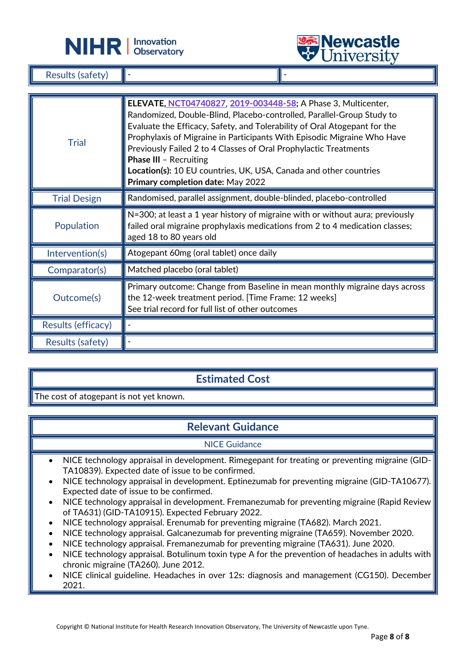



Results (safety)

| <b>Trial</b>        | ELEVATE, NCT04740827, 2019-003448-58; A Phase 3, Multicenter,<br>Randomized, Double-Blind, Placebo-controlled, Parallel-Group Study to<br>Evaluate the Efficacy, Safety, and Tolerability of Oral Atogepant for the<br>Prophylaxis of Migraine in Participants With Episodic Migraine Who Have<br>Previously Failed 2 to 4 Classes of Oral Prophylactic Treatments<br><b>Phase III - Recruiting</b><br>Location(s): 10 EU countries, UK, USA, Canada and other countries<br>Primary completion date: May 2022 |
|---------------------|---------------------------------------------------------------------------------------------------------------------------------------------------------------------------------------------------------------------------------------------------------------------------------------------------------------------------------------------------------------------------------------------------------------------------------------------------------------------------------------------------------------|
| <b>Trial Design</b> | Randomised, parallel assignment, double-blinded, placebo-controlled                                                                                                                                                                                                                                                                                                                                                                                                                                           |
| Population          | N=300; at least a 1 year history of migraine with or without aura; previously<br>failed oral migraine prophylaxis medications from 2 to 4 medication classes;<br>aged 18 to 80 years old                                                                                                                                                                                                                                                                                                                      |
| Intervention(s)     | Atogepant 60mg (oral tablet) once daily                                                                                                                                                                                                                                                                                                                                                                                                                                                                       |
| Comparator(s)       | $\parallel$ Matched placebo (oral tablet)                                                                                                                                                                                                                                                                                                                                                                                                                                                                     |
| Outcome(s)          | Primary outcome: Change from Baseline in mean monthly migraine days across<br>the 12-week treatment period. [Time Frame: 12 weeks]<br>See trial record for full list of other outcomes                                                                                                                                                                                                                                                                                                                        |
| Results (efficacy)  |                                                                                                                                                                                                                                                                                                                                                                                                                                                                                                               |
| Results (safety)    |                                                                                                                                                                                                                                                                                                                                                                                                                                                                                                               |

L

## **Estimated Cost**

The cost of atogepant is not yet known.

## **Relevant Guidance**

#### NICE Guidance

- NICE technology appraisal in development. Rimegepant for treating or preventing migraine (GID-TA10839). Expected date of issue to be confirmed.
- NICE technology appraisal in development. Eptinezumab for preventing migraine (GID-TA10677). Expected date of issue to be confirmed.
- NICE technology appraisal in development. Fremanezumab for preventing migraine (Rapid Review of TA631) (GID-TA10915). Expected February 2022.
- NICE technology appraisal. Erenumab for preventing migraine (TA682). March 2021.
- NICE technology appraisal. Galcanezumab for preventing migraine (TA659). November 2020.
- NICE technology appraisal. Fremanezumab for preventing migraine (TA631). June 2020.
- NICE technology appraisal. Botulinum toxin type A for the prevention of headaches in adults with chronic migraine (TA260). June 2012.
- NICE clinical guideline. Headaches in over 12s: diagnosis and management (CG150). December 2021.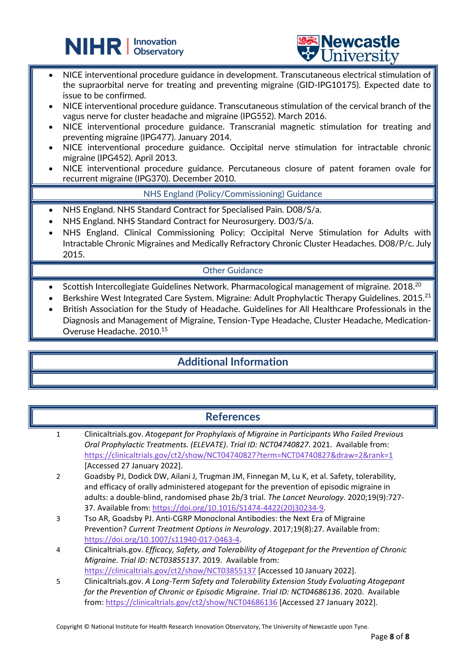



- NICE interventional procedure guidance in development. Transcutaneous electrical stimulation of the supraorbital nerve for treating and preventing migraine (GID-IPG10175). Expected date to issue to be confirmed.
- NICE interventional procedure guidance. Transcutaneous stimulation of the cervical branch of the vagus nerve for cluster headache and migraine (IPG552). March 2016.
- NICE interventional procedure guidance. Transcranial magnetic stimulation for treating and preventing migraine (IPG477). January 2014.
- NICE interventional procedure guidance. Occipital nerve stimulation for intractable chronic migraine (IPG452). April 2013.
- NICE interventional procedure guidance. Percutaneous closure of patent foramen ovale for recurrent migraine (IPG370). December 2010.

#### NHS England (Policy/Commissioning) Guidance

• NHS England. NHS Standard Contract for Specialised Pain. D08/S/a.

L

- NHS England. NHS Standard Contract for Neurosurgery. D03/S/a.
- NHS England. Clinical Commissioning Policy: Occipital Nerve Stimulation for Adults with Intractable Chronic Migraines and Medically Refractory Chronic Cluster Headaches. D08/P/c. July 2015.

#### Other Guidance

- Scottish Intercollegiate Guidelines Network. Pharmacological management of migraine. 2018.<sup>20</sup>
- Berkshire West Integrated Care System. Migraine: Adult Prophylactic Therapy Guidelines. 2015.<sup>21</sup>
- British Association for the Study of Headache. Guidelines for All Healthcare Professionals in the Diagnosis and Management of Migraine, Tension-Type Headache, Cluster Headache, Medication-Overuse Headache. 2010.<sup>15</sup>

## **Additional Information**

#### **References**

- 1 Clinicaltrials.gov. *Atogepant for Prophylaxis of Migraine in Participants Who Failed Previous Oral Prophylactic Treatments. (ELEVATE)*. *Trial ID: NCT04740827*. 2021. Available from: <https://clinicaltrials.gov/ct2/show/NCT04740827?term=NCT04740827&draw=2&rank=1> [Accessed 27 January 2022].
- 2 Goadsby PJ, Dodick DW, Ailani J, Trugman JM, Finnegan M, Lu K, et al. Safety, tolerability, and efficacy of orally administered atogepant for the prevention of episodic migraine in adults: a double-blind, randomised phase 2b/3 trial. *The Lancet Neurology*. 2020;19(9):727- 37. Available from: [https://doi.org/10.1016/S1474-4422\(20\)30234-9.](https://doi.org/10.1016/S1474-4422(20)30234-9)
- 3 Tso AR, Goadsby PJ. Anti-CGRP Monoclonal Antibodies: the Next Era of Migraine Prevention? *Current Treatment Options in Neurology*. 2017;19(8):27. Available from: [https://doi.org/10.1007/s11940-017-0463-4.](https://doi.org/10.1007/s11940-017-0463-4)
- 4 Clinicaltrials.gov. *Efficacy, Safety, and Tolerability of Atogepant for the Prevention of Chronic Migraine*. *Trial ID: NCT03855137*. 2019. Available from: <https://clinicaltrials.gov/ct2/show/NCT03855137> [Accessed 10 January 2022].
- 5 Clinicaltrials.gov. *A Long-Term Safety and Tolerability Extension Study Evaluating Atogepant for the Prevention of Chronic or Episodic Migraine*. *Trial ID: NCT04686136*. 2020. Available from:<https://clinicaltrials.gov/ct2/show/NCT04686136> [Accessed 27 January 2022].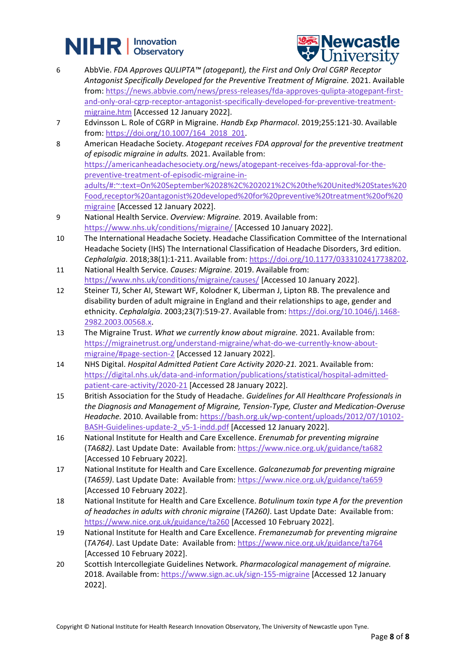# **NIHR** | Innovation



- 6 AbbVie. *FDA Approves QULIPTA™ (atogepant), the First and Only Oral CGRP Receptor Antagonist Specifically Developed for the Preventive Treatment of Migraine.* 2021. Available from: [https://news.abbvie.com/news/press-releases/fda-approves-qulipta-atogepant-first](https://news.abbvie.com/news/press-releases/fda-approves-qulipta-atogepant-first-and-only-oral-cgrp-receptor-antagonist-specifically-developed-for-preventive-treatment-migraine.htm)[and-only-oral-cgrp-receptor-antagonist-specifically-developed-for-preventive-treatment](https://news.abbvie.com/news/press-releases/fda-approves-qulipta-atogepant-first-and-only-oral-cgrp-receptor-antagonist-specifically-developed-for-preventive-treatment-migraine.htm)[migraine.htm](https://news.abbvie.com/news/press-releases/fda-approves-qulipta-atogepant-first-and-only-oral-cgrp-receptor-antagonist-specifically-developed-for-preventive-treatment-migraine.htm) [Accessed 12 January 2022].
- 7 Edvinsson L. Role of CGRP in Migraine. *Handb Exp Pharmacol*. 2019;255:121-30. Available from: [https://doi.org/10.1007/164\\_2018\\_201.](https://doi.org/10.1007/164_2018_201)
- 8 American Headache Society. *Atogepant receives FDA approval for the preventive treatment of episodic migraine in adults.* 2021. Available from: [https://americanheadachesociety.org/news/atogepant-receives-fda-approval-for-the](https://americanheadachesociety.org/news/atogepant-receives-fda-approval-for-the-preventive-treatment-of-episodic-migraine-in-adults/#:~:text=On%20September%2028%2C%202021%2C%20the%20United%20States%20Food,receptor%20antagonist%20developed%20for%20preventive%20treatment%20of%20migraine)[preventive-treatment-of-episodic-migraine-in](https://americanheadachesociety.org/news/atogepant-receives-fda-approval-for-the-preventive-treatment-of-episodic-migraine-in-adults/#:~:text=On%20September%2028%2C%202021%2C%20the%20United%20States%20Food,receptor%20antagonist%20developed%20for%20preventive%20treatment%20of%20migraine)[adults/#:~:text=On%20September%2028%2C%202021%2C%20the%20United%20States%20](https://americanheadachesociety.org/news/atogepant-receives-fda-approval-for-the-preventive-treatment-of-episodic-migraine-in-adults/#:~:text=On%20September%2028%2C%202021%2C%20the%20United%20States%20Food,receptor%20antagonist%20developed%20for%20preventive%20treatment%20of%20migraine) [Food,receptor%20antagonist%20developed%20for%20preventive%20treatment%20of%20](https://americanheadachesociety.org/news/atogepant-receives-fda-approval-for-the-preventive-treatment-of-episodic-migraine-in-adults/#:~:text=On%20September%2028%2C%202021%2C%20the%20United%20States%20Food,receptor%20antagonist%20developed%20for%20preventive%20treatment%20of%20migraine) [migraine](https://americanheadachesociety.org/news/atogepant-receives-fda-approval-for-the-preventive-treatment-of-episodic-migraine-in-adults/#:~:text=On%20September%2028%2C%202021%2C%20the%20United%20States%20Food,receptor%20antagonist%20developed%20for%20preventive%20treatment%20of%20migraine) [Accessed 12 January 2022].
- 9 National Health Service. *Overview: Migraine.* 2019. Available from: <https://www.nhs.uk/conditions/migraine/> [Accessed 10 January 2022].
- 10 The International Headache Society. Headache Classification Committee of the International Headache Society (IHS) The International Classification of Headache Disorders, 3rd edition. *Cephalalgia*. 2018;38(1):1-211. Available from[: https://doi.org/10.1177/0333102417738202.](https://doi.org/10.1177/0333102417738202)
- 11 National Health Service. *Causes: Migraine.* 2019. Available from: <https://www.nhs.uk/conditions/migraine/causes/> [Accessed 10 January 2022].
- 12 Steiner TJ, Scher AI, Stewart WF, Kolodner K, Liberman J, Lipton RB. The prevalence and disability burden of adult migraine in England and their relationships to age, gender and ethnicity. *Cephalalgia*. 2003;23(7):519-27. Available from[: https://doi.org/10.1046/j.1468-](https://doi.org/10.1046/j.1468-2982.2003.00568.x) [2982.2003.00568.x.](https://doi.org/10.1046/j.1468-2982.2003.00568.x)
- 13 The Migraine Trust. *What we currently know about migraine.* 2021. Available from: [https://migrainetrust.org/understand-migraine/what-do-we-currently-know-about](https://migrainetrust.org/understand-migraine/what-do-we-currently-know-about-migraine/#page-section-2)[migraine/#page-section-2](https://migrainetrust.org/understand-migraine/what-do-we-currently-know-about-migraine/#page-section-2) [Accessed 12 January 2022].
- 14 NHS Digital. *Hospital Admitted Patient Care Activity 2020-21.* 2021. Available from: [https://digital.nhs.uk/data-and-information/publications/statistical/hospital-admitted](https://digital.nhs.uk/data-and-information/publications/statistical/hospital-admitted-patient-care-activity/2020-21)[patient-care-activity/2020-21](https://digital.nhs.uk/data-and-information/publications/statistical/hospital-admitted-patient-care-activity/2020-21) [Accessed 28 January 2022].
- 15 British Association for the Study of Headache. *Guidelines for All Healthcare Professionals in the Diagnosis and Management of Migraine, Tension-Type, Cluster and Medication-Overuse Headache.* 2010. Available from: [https://bash.org.uk/wp-content/uploads/2012/07/10102-](https://bash.org.uk/wp-content/uploads/2012/07/10102-BASH-Guidelines-update-2_v5-1-indd.pdf) [BASH-Guidelines-update-2\\_v5-1-indd.pdf](https://bash.org.uk/wp-content/uploads/2012/07/10102-BASH-Guidelines-update-2_v5-1-indd.pdf) [Accessed 12 January 2022].
- 16 National Institute for Health and Care Excellence. *Erenumab for preventing migraine* (*TA682)*. Last Update Date: Available from:<https://www.nice.org.uk/guidance/ta682> [Accessed 10 February 2022].
- 17 National Institute for Health and Care Excellence. *Galcanezumab for preventing migraine* (*TA659)*. Last Update Date: Available from:<https://www.nice.org.uk/guidance/ta659> [Accessed 10 February 2022].
- 18 National Institute for Health and Care Excellence. *Botulinum toxin type A for the prevention of headaches in adults with chronic migraine* (*TA260)*. Last Update Date: Available from: <https://www.nice.org.uk/guidance/ta260> [Accessed 10 February 2022].
- 19 National Institute for Health and Care Excellence. *Fremanezumab for preventing migraine* (*TA764)*. Last Update Date: Available from:<https://www.nice.org.uk/guidance/ta764> [Accessed 10 February 2022].
- 20 Scottish Intercollegiate Guidelines Network. *Pharmacological management of migraine.* 2018. Available from:<https://www.sign.ac.uk/sign-155-migraine> [Accessed 12 January 2022].